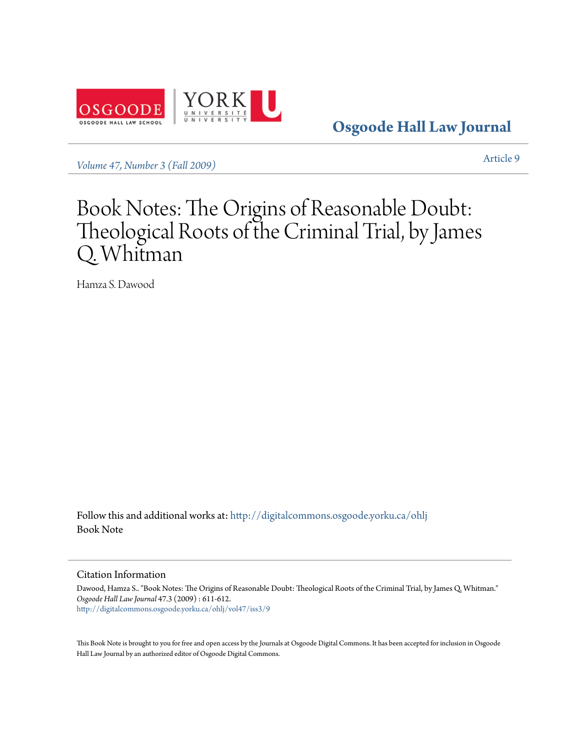

**[Osgoode Hall Law Journal](http://digitalcommons.osgoode.yorku.ca/ohlj?utm_source=digitalcommons.osgoode.yorku.ca%2Fohlj%2Fvol47%2Fiss3%2F9&utm_medium=PDF&utm_campaign=PDFCoverPages)**

*[Volume 47, Number 3 \(Fall 2009\)](http://digitalcommons.osgoode.yorku.ca/ohlj/vol47/iss3?utm_source=digitalcommons.osgoode.yorku.ca%2Fohlj%2Fvol47%2Fiss3%2F9&utm_medium=PDF&utm_campaign=PDFCoverPages)* [Article 9](http://digitalcommons.osgoode.yorku.ca/ohlj/vol47/iss3/9?utm_source=digitalcommons.osgoode.yorku.ca%2Fohlj%2Fvol47%2Fiss3%2F9&utm_medium=PDF&utm_campaign=PDFCoverPages)

# Book Notes: The Origins of Reasonable Doubt: Theological Roots of the Criminal Trial, by James Q. Whitman

Hamza S. Dawood

Follow this and additional works at: [http://digitalcommons.osgoode.yorku.ca/ohlj](http://digitalcommons.osgoode.yorku.ca/ohlj?utm_source=digitalcommons.osgoode.yorku.ca%2Fohlj%2Fvol47%2Fiss3%2F9&utm_medium=PDF&utm_campaign=PDFCoverPages) Book Note

### Citation Information

Dawood, Hamza S.. "Book Notes: The Origins of Reasonable Doubt: Theological Roots of the Criminal Trial, by James Q. Whitman." *Osgoode Hall Law Journal* 47.3 (2009) : 611-612. [http://digitalcommons.osgoode.yorku.ca/ohlj/vol47/iss3/9](http://digitalcommons.osgoode.yorku.ca/ohlj/vol47/iss3/9?utm_source=digitalcommons.osgoode.yorku.ca%2Fohlj%2Fvol47%2Fiss3%2F9&utm_medium=PDF&utm_campaign=PDFCoverPages)

This Book Note is brought to you for free and open access by the Journals at Osgoode Digital Commons. It has been accepted for inclusion in Osgoode Hall Law Journal by an authorized editor of Osgoode Digital Commons.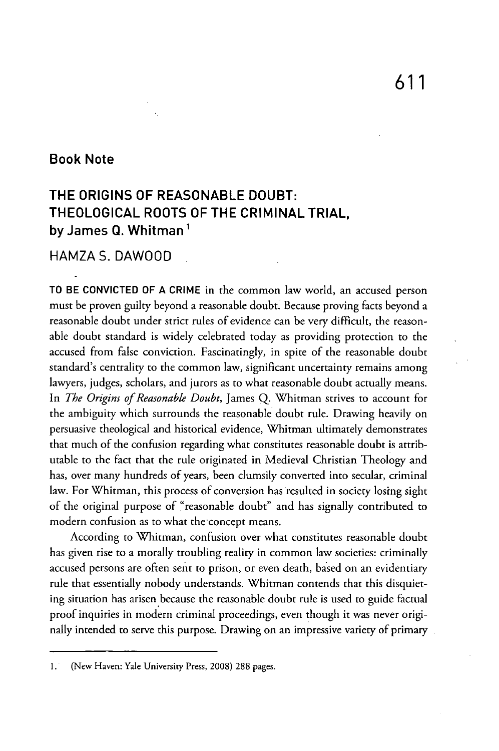## **Book Note**

## **THE ORIGINS OF REASONABLE DOUBT: THEOLOGICAL ROOTS OF THE CRIMINAL TRIAL, by James Q. Whitman 1**

## **HAMZAS. DAWOOD**

TO BE **CONVICTED OF A CRIME** in the common law world, an accused person must be proven guilty beyond a reasonable doubt. Because proving facts beyond a reasonable doubt under strict rules of evidence can be very difficult, the reasonable doubt standard is widely celebrated today as providing protection to the accused from false conviction. Fascinatingly, in spite of the reasonable doubt standard's centrality to the common law, significant uncertainty remains among lawyers, judges, scholars, and jurors as to what reasonable doubt actually means. In *The Origins of Reasonable Doubt,* James Q. Whitman strives to account for the ambiguity which surrounds the reasonable doubt rule. Drawing heavily on persuasive theological and historical evidence, Whitman ultimately demonstrates that much of the confusion regarding what constitutes reasonable doubt is attributable to the fact that the rule originated in Medieval Christian Theology and has, over many hundreds of years, been clumsily converted into secular, criminal law. For Whitman, this process of conversion has resulted in society losing sight of the original purpose of "reasonable doubt" and has signally contributed to modern confusion as to what the concept means.

According to Whitman, confusion over what constitutes reasonable doubt has given rise to a morally troubling reality in common law societies: criminally accused persons are often sent to prison, or even death, based on an evidentiary rule that essentially nobody understands. Whitman contends that this disquieting situation has arisen because the reasonable doubt rule is used to guide factual proof inquiries in modern criminal proceedings, even though it was never originally intended to serve this purpose. Drawing on an impressive variety of primary

<sup>1. (</sup>New Haven: Yale University Press, 2008) 288 pages.